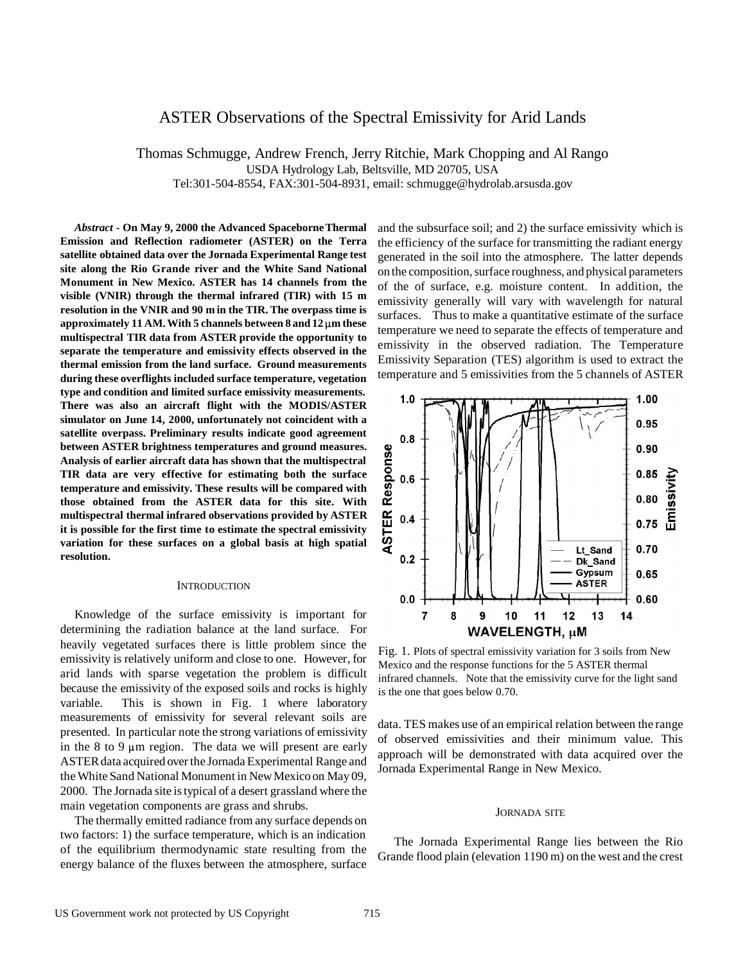# ASTER Observations of the Spectral Emissivity for Arid Lands

Thomas Schmugge, Andrew French, Jerry Ritchie, Mark Chopping and Al Rango USDA Hydrology Lab, Beltsville, MD 20705, USA Tel:301-504-8554, FAX:301-504-8931, email: schmugge@hydrolab.arsusda.gov

*Abstract* **- On May 9, 2000 the Advanced Spaceborne Thermal Emission and Reflection radiometer (ASTER) on the Terra satellite obtained data over the Jornada Experimental Range test site along the Rio Grande river and the White Sand National Monument in New Mexico. ASTER has 14 channels from the visible (VNIR) through the thermal infrared (TIR) with 15 m resolution in the VNIR and 90 m in the TIR. The overpass time is approximately 11 AM. With 5 channels between 8 and 12 m these multispectral TIR data from ASTER provide the opportunity to separate the temperature and emissivity effects observed in the thermal emission from the land surface. Ground measurements during these overflights included surface temperature, vegetation type and condition and limited surface emissivity measurements. There was also an aircraft flight with the MODIS/ASTER simulator on June 14, 2000, unfortunately not coincident with a satellite overpass. Preliminary results indicate good agreement between ASTER brightness temperatures and ground measures. Analysis of earlier aircraft data has shown that the multispectral TIR data are very effective for estimating both the surface temperature and emissivity. These results will be compared with those obtained from the ASTER data for this site. With multispectral thermal infrared observations provided by ASTER it is possible for the first time to estimate the spectral emissivity variation for these surfaces on a global basis at high spatial resolution.**

### **INTRODUCTION**

Knowledge of the surface emissivity is important for determining the radiation balance at the land surface. For heavily vegetated surfaces there is little problem since the emissivity is relatively uniform and close to one. However, for arid lands with sparse vegetation the problem is difficult because the emissivity of the exposed soils and rocks is highly variable. This is shown in Fig. 1 where laboratory measurements of emissivity for several relevant soils are presented. In particular note the strong variations of emissivity in the 8 to 9  $\mu$ m region. The data we will present are early ASTER data acquired over the Jornada Experimental Range and the White Sand National Monument in New Mexico on May 09, 2000. The Jornada site is typical of a desert grassland where the main vegetation components are grass and shrubs.

The thermally emitted radiance from any surface depends on two factors: 1) the surface temperature, which is an indication of the equilibrium thermodynamic state resulting from the energy balance of the fluxes between the atmosphere, surface

and the subsurface soil; and 2) the surface emissivity which is the efficiency of the surface for transmitting the radiant energy generated in the soil into the atmosphere. The latter depends on the composition, surface roughness, and physical parameters of the of surface, e.g. moisture content. In addition, the emissivity generally will vary with wavelength for natural surfaces. Thus to make a quantitative estimate of the surface temperature we need to separate the effects of temperature and emissivity in the observed radiation. The Temperature Emissivity Separation (TES) algorithm is used to extract the temperature and 5 emissivities from the 5 channels of ASTER



Fig. 1. Plots of spectral emissivity variation for 3 soils from New Mexico and the response functions for the 5 ASTER thermal infrared channels. Note that the emissivity curve for the light sand is the one that goes below 0.70.

data. TES makes use of an empirical relation between the range of observed emissivities and their minimum value. This approach will be demonstrated with data acquired over the Jornada Experimental Range in New Mexico.

## JORNADA SITE

The Jornada Experimental Range lies between the Rio Grande flood plain (elevation 1190 m) on the west and the crest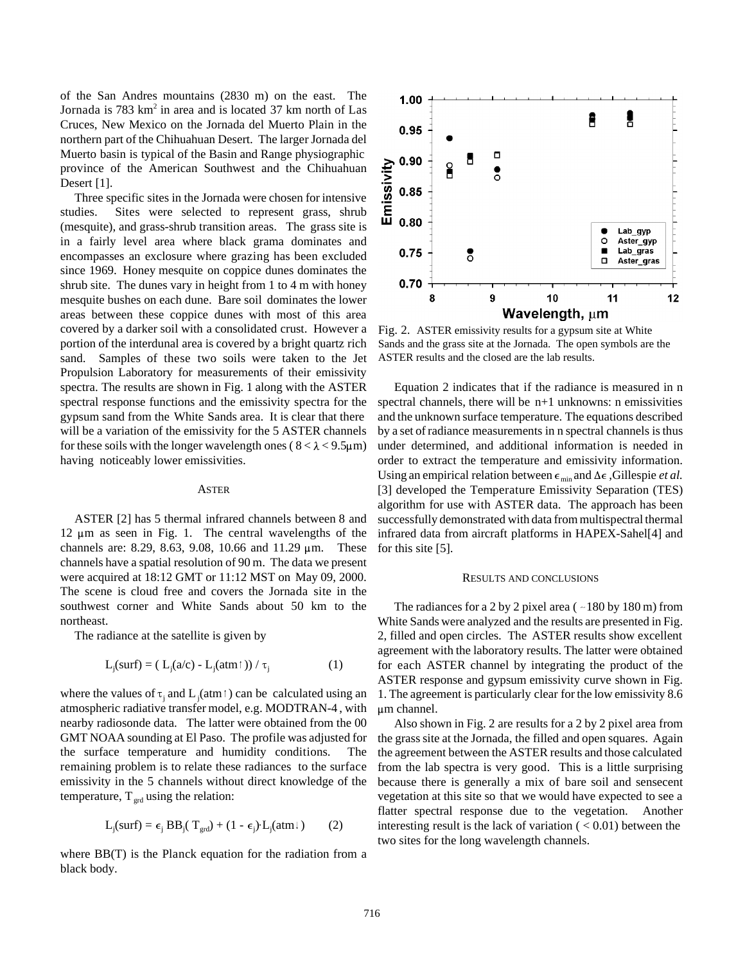of the San Andres mountains (2830 m) on the east. The Jornada is 783 km<sup>2</sup> in area and is located 37 km north of Las Cruces, New Mexico on the Jornada del Muerto Plain in the northern part of the Chihuahuan Desert. The larger Jornada del Muerto basin is typical of the Basin and Range physiographic province of the American Southwest and the Chihuahuan Desert [1].

Three specific sites in the Jornada were chosen for intensive studies. Sites were selected to represent grass, shrub (mesquite), and grass-shrub transition areas. The grass site is in a fairly level area where black grama dominates and encompasses an exclosure where grazing has been excluded since 1969. Honey mesquite on coppice dunes dominates the shrub site. The dunes vary in height from 1 to 4 m with honey mesquite bushes on each dune. Bare soil dominates the lower areas between these coppice dunes with most of this area covered by a darker soil with a consolidated crust. However a portion of the interdunal area is covered by a bright quartz rich sand. Samples of these two soils were taken to the Jet Propulsion Laboratory for measurements of their emissivity spectra. The results are shown in Fig. 1 along with the ASTER spectral response functions and the emissivity spectra for the gypsum sand from the White Sands area. It is clear that there will be a variation of the emissivity for the 5 ASTER channels for these soils with the longer wavelength ones ( $8 < \lambda < 9.5 \mu m$ ) having noticeably lower emissivities.

#### ASTER

ASTER [2] has 5 thermal infrared channels between 8 and  $12 \mu m$  as seen in Fig. 1. The central wavelengths of the channels are: 8.29, 8.63, 9.08, 10.66 and 11.29  $\mu$ m. These channels have a spatial resolution of 90 m. The data we present were acquired at 18:12 GMT or 11:12 MST on May 09, 2000. The scene is cloud free and covers the Jornada site in the southwest corner and White Sands about 50 km to the northeast.

The radiance at the satellite is given by

$$
L_j(surf) = (L_j(a/c) - L_j(atm\uparrow)) / \tau_j
$$
 (1)

where the values of  $\tau_j$  and  $L_j$  (atm  $\tau$ ) can be calculated using an atmospheric radiative transfer model, e.g. MODTRAN-4 , with nearby radiosonde data. The latter were obtained from the 00 GMT NOAA sounding at El Paso. The profile was adjusted for the surface temperature and humidity conditions. The remaining problem is to relate these radiances to the surface emissivity in the 5 channels without direct knowledge of the temperature,  $T_{\text{erd}}$  using the relation:

$$
L_j(surf) = \epsilon_j BB_j(T_{grd}) + (1 - \epsilon_j)L_j(atm\downarrow)
$$
 (2)

where BB(T) is the Planck equation for the radiation from a black body.



Fig. 2. ASTER emissivity results for a gypsum site at White Sands and the grass site at the Jornada. The open symbols are the ASTER results and the closed are the lab results.

Equation 2 indicates that if the radiance is measured in n spectral channels, there will be n+1 unknowns: n emissivities and the unknown surface temperature. The equations described by a set of radiance measurements in n spectral channels is thus under determined, and additional information is needed in order to extract the temperature and emissivity information. Using an empirical relation between  $\epsilon_{\min}$  and  $\Delta \epsilon$ , Gillespie *et al.* [3] developed the Temperature Emissivity Separation (TES) algorithm for use with ASTER data. The approach has been successfully demonstrated with data from multispectral thermal infrared data from aircraft platforms in HAPEX-Sahel[4] and for this site [5].

#### RESULTS AND CONCLUSIONS

The radiances for a 2 by 2 pixel area ( $\sim$  180 by 180 m) from White Sands were analyzed and the results are presented in Fig. 2, filled and open circles. The ASTER results show excellent agreement with the laboratory results. The latter were obtained for each ASTER channel by integrating the product of the ASTER response and gypsum emissivity curve shown in Fig. 1. The agreement is particularly clear for the low emissivity 8.6  $\mu$ m channel.

Also shown in Fig. 2 are results for a 2 by 2 pixel area from the grass site at the Jornada, the filled and open squares. Again the agreement between the ASTER results and those calculated from the lab spectra is very good. This is a little surprising because there is generally a mix of bare soil and sensecent vegetation at this site so that we would have expected to see a flatter spectral response due to the vegetation. Another interesting result is the lack of variation  $(< 0.01)$  between the two sites for the long wavelength channels.